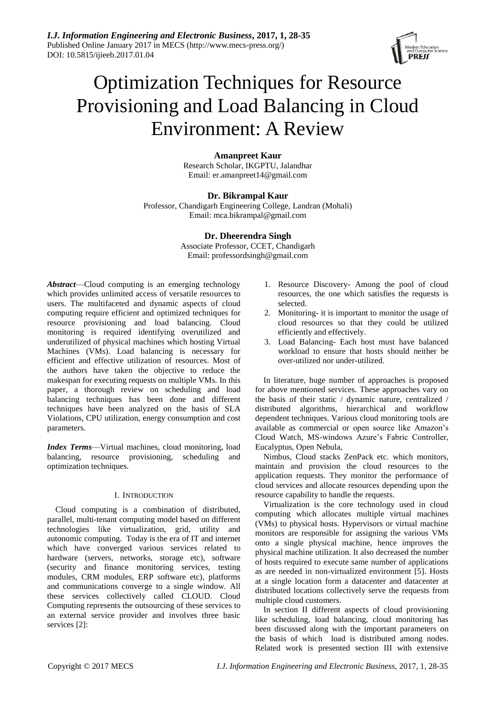*I.J. Information Engineering and Electronic Business***, 2017, 1, 28-35** Published Online January 2017 in MECS (http://www.mecs-press.org/) DOI: 10.5815/ijieeb.2017.01.04



# Optimization Techniques for Resource Provisioning and Load Balancing in Cloud Environment: A Review

# **Amanpreet Kaur**

Research Scholar, IKGPTU, Jalandhar Email: er.amanpreet14@gmail.com

## **Dr. Bikrampal Kaur**

Professor, Chandigarh Engineering College, Landran (Mohali) Email: [mca.bikrampal@gmail.com](mailto:mca.bikrampal@gmail.com)

# **Dr. Dheerendra Singh**

Associate Professor, CCET, Chandigarh Email: professordsingh@gmail.com

*Abstract*—Cloud computing is an emerging technology which provides unlimited access of versatile resources to users. The multifaceted and dynamic aspects of cloud computing require efficient and optimized techniques for resource provisioning and load balancing. Cloud monitoring is required identifying overutilized and underutilized of physical machines which hosting Virtual Machines (VMs). Load balancing is necessary for efficient and effective utilization of resources. Most of the authors have taken the objective to reduce the makespan for executing requests on multiple VMs. In this paper, a thorough review on scheduling and load balancing techniques has been done and different techniques have been analyzed on the basis of SLA Violations, CPU utilization, energy consumption and cost parameters.

*Index Terms*—Virtual machines, cloud monitoring, load balancing, resource provisioning, scheduling and optimization techniques.

## I. INTRODUCTION

Cloud computing is a combination of distributed, parallel, multi-tenant computing model based on different technologies like virtualization, grid, utility and autonomic computing. Today is the era of IT and internet which have converged various services related to hardware (servers, networks, storage etc), software (security and finance monitoring services, testing modules, CRM modules, ERP software etc), platforms and communications converge to a single window. All these services collectively called CLOUD. Cloud Computing represents the outsourcing of these services to an external service provider and involves three basic services [2]:

- 1. Resource Discovery- Among the pool of cloud resources, the one which satisfies the requests is selected.
- 2. Monitoring- it is important to monitor the usage of cloud resources so that they could be utilized efficiently and effectively.
- 3. Load Balancing- Each host must have balanced workload to ensure that hosts should neither be over-utilized nor under-utilized.

In literature, huge number of approaches is proposed for above mentioned services. These approaches vary on the basis of their static / dynamic nature, centralized / distributed algorithms, hierarchical and workflow dependent techniques. Various cloud monitoring tools are available as commercial or open source like Amazon's Cloud Watch, MS-windows Azure's Fabric Controller, Eucalyptus, Open Nebula,

Nimbus, Cloud stacks ZenPack etc. which monitors, maintain and provision the cloud resources to the application requests. They monitor the performance of cloud services and allocate resources depending upon the resource capability to handle the requests.

Virtualization is the core technology used in cloud computing which allocates multiple virtual machines (VMs) to physical hosts. Hypervisors or virtual machine monitors are responsible for assigning the various VMs onto a single physical machine, hence improves the physical machine utilization. It also decreased the number of hosts required to execute same number of applications as are needed in non-virtualized environment [5]. Hosts at a single location form a datacenter and datacenter at distributed locations collectively serve the requests from multiple cloud customers.

In section II different aspects of cloud provisioning like scheduling, load balancing, cloud monitoring has been discussed along with the important parameters on the basis of which load is distributed among nodes. Related work is presented section III with extensive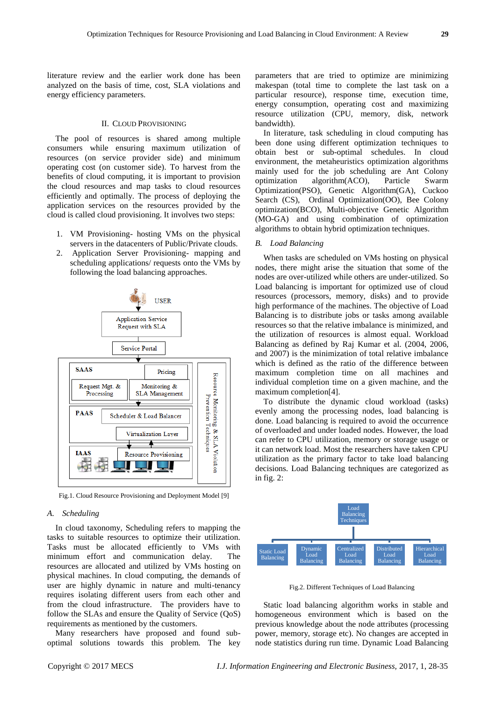literature review and the earlier work done has been analyzed on the basis of time, cost, SLA violations and energy efficiency parameters.

## II. CLOUD PROVISIONING

The pool of resources is shared among multiple consumers while ensuring maximum utilization of resources (on service provider side) and minimum operating cost (on customer side). To harvest from the benefits of cloud computing, it is important to provision the cloud resources and map tasks to cloud resources efficiently and optimally. The process of deploying the application services on the resources provided by the cloud is called cloud provisioning. It involves two steps:

- 1. VM Provisioning- hosting VMs on the physical servers in the datacenters of Public/Private clouds.
- 2. Application Server Provisioning- mapping and scheduling applications/ requests onto the VMs by following the load balancing approaches.



Fig.1. Cloud Resource Provisioning and Deployment Model [9]

### *A. Scheduling*

In cloud taxonomy, Scheduling refers to mapping the tasks to suitable resources to optimize their utilization. Tasks must be allocated efficiently to VMs with minimum effort and communication delay. The resources are allocated and utilized by VMs hosting on physical machines. In cloud computing, the demands of user are highly dynamic in nature and multi-tenancy requires isolating different users from each other and from the cloud infrastructure. The providers have to follow the SLAs and ensure the Quality of Service (QoS) requirements as mentioned by the customers.

Many researchers have proposed and found suboptimal solutions towards this problem. The key parameters that are tried to optimize are minimizing makespan (total time to complete the last task on a particular resource), response time, execution time, energy consumption, operating cost and maximizing resource utilization (CPU, memory, disk, network bandwidth).

In literature, task scheduling in cloud computing has been done using different optimization techniques to obtain best or sub-optimal schedules. In cloud environment, the metaheuristics optimization algorithms mainly used for the job scheduling are Ant Colony optimization algorithm(ACO), Particle Swarm Optimization(PSO), Genetic Algorithm(GA), Cuckoo Search (CS), Ordinal Optimization(OO), Bee Colony optimization(BCO), Multi-objective Genetic Algorithm (MO-GA) and using combination of optimization algorithms to obtain hybrid optimization techniques.

#### *B. Load Balancing*

When tasks are scheduled on VMs hosting on physical nodes, there might arise the situation that some of the nodes are over-utilized while others are under-utilized. So Load balancing is important for optimized use of cloud resources (processors, memory, disks) and to provide high performance of the machines. The objective of Load Balancing is to distribute jobs or tasks among available resources so that the relative imbalance is minimized, and the utilization of resources is almost equal. Workload Balancing as defined by Raj Kumar et al. (2004, 2006, and 2007) is the minimization of total relative imbalance which is defined as the ratio of the difference between maximum completion time on all machines and individual completion time on a given machine, and the maximum completion[4].

To distribute the dynamic cloud workload (tasks) evenly among the processing nodes, load balancing is done. Load balancing is required to avoid the occurrence of overloaded and under loaded nodes. However, the load can refer to CPU utilization, memory or storage usage or it can network load. Most the researchers have taken CPU utilization as the primary factor to take load balancing decisions. Load Balancing techniques are categorized as in fig. 2:



Fig.2. Different Techniques of Load Balancing

Static load balancing algorithm works in stable and homogeneous environment which is based on the previous knowledge about the node attributes (processing power, memory, storage etc). No changes are accepted in node statistics during run time. Dynamic Load Balancing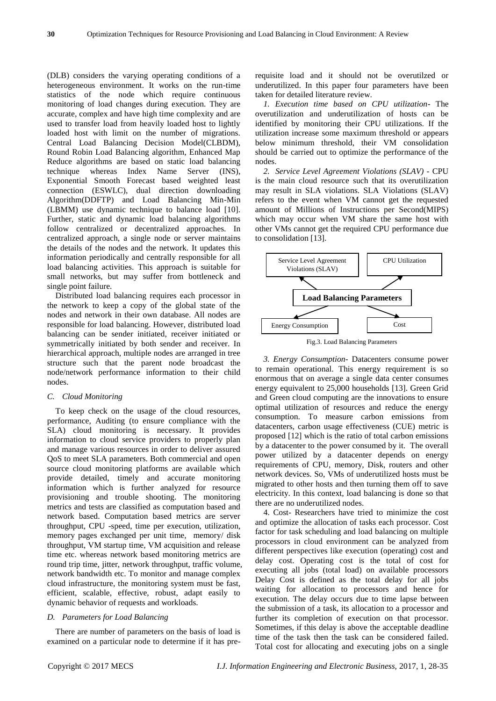(DLB) considers the varying operating conditions of a heterogeneous environment. It works on the run-time statistics of the node which require continuous monitoring of load changes during execution. They are accurate, complex and have high time complexity and are used to transfer load from heavily loaded host to lightly loaded host with limit on the number of migrations. Central Load Balancing Decision Model(CLBDM), Round Robin Load Balancing algorithm, Enhanced Map Reduce algorithms are based on static load balancing technique whereas Index Name Server (INS), Exponential Smooth Forecast based weighted least connection (ESWLC), dual direction downloading Algorithm(DDFTP) and Load Balancing Min-Min (LBMM) use dynamic technique to balance load [10]. Further, static and dynamic load balancing algorithms follow centralized or decentralized approaches. In centralized approach, a single node or server maintains the details of the nodes and the network. It updates this information periodically and centrally responsible for all load balancing activities. This approach is suitable for small networks, but may suffer from bottleneck and single point failure.

Distributed load balancing requires each processor in the network to keep a copy of the global state of the nodes and network in their own database. All nodes are responsible for load balancing. However, distributed load balancing can be sender initiated, receiver initiated or symmetrically initiated by both sender and receiver. In hierarchical approach, multiple nodes are arranged in tree structure such that the parent node broadcast the node/network performance information to their child nodes.

## *C. Cloud Monitoring*

To keep check on the usage of the cloud resources, performance, Auditing (to ensure compliance with the SLA) cloud monitoring is necessary. It provides information to cloud service providers to properly plan and manage various resources in order to deliver assured QoS to meet SLA parameters. Both commercial and open source cloud monitoring platforms are available which provide detailed, timely and accurate monitoring information which is further analyzed for resource provisioning and trouble shooting. The monitoring metrics and tests are classified as computation based and network based. Computation based metrics are server throughput, CPU -speed, time per execution, utilization, memory pages exchanged per unit time, memory/ disk throughput, VM startup time, VM acquisition and release time etc. whereas network based monitoring metrics are round trip time, jitter, network throughput, traffic volume, network bandwidth etc. To monitor and manage complex cloud infrastructure, the monitoring system must be fast, efficient, scalable, effective, robust, adapt easily to dynamic behavior of requests and workloads.

## *D. Parameters for Load Balancing*

There are number of parameters on the basis of load is examined on a particular node to determine if it has prerequisite load and it should not be overutilzed or underutilized. In this paper four parameters have been taken for detailed literature review.

*1. Execution time based on CPU utilization-* The overutilization and underutilization of hosts can be identified by monitoring their CPU utilizations. If the utilization increase some maximum threshold or appears below minimum threshold, their VM consolidation should be carried out to optimize the performance of the nodes.

*2. Service Level Agreement Violations (SLAV) -* CPU is the main cloud resource such that its overutilization may result in SLA violations. SLA Violations (SLAV) refers to the event when VM cannot get the requested amount of Millions of Instructions per Second(MIPS) which may occur when VM share the same host with other VMs cannot get the required CPU performance due to consolidation [13].



Fig.3. Load Balancing Parameters

*3. Energy Consumption-* Datacenters consume power to remain operational. This energy requirement is so enormous that on average a single data center consumes energy equivalent to 25,000 households [13]. Green Grid and Green cloud computing are the innovations to ensure optimal utilization of resources and reduce the energy consumption. To measure carbon emissions from datacenters, carbon usage effectiveness (CUE) metric is proposed [12] which is the ratio of total carbon emissions by a datacenter to the power consumed by it. The overall power utilized by a datacenter depends on energy requirements of CPU, memory, Disk, routers and other network devices. So, VMs of underutilized hosts must be migrated to other hosts and then turning them off to save electricity. In this context, load balancing is done so that there are no underutilized nodes.

4. Cost- Researchers have tried to minimize the cost and optimize the allocation of tasks each processor. Cost factor for task scheduling and load balancing on multiple processors in cloud environment can be analyzed from different perspectives like execution (operating) cost and delay cost. Operating cost is the total of cost for executing all jobs (total load) on available processors Delay Cost is defined as the total delay for all jobs waiting for allocation to processors and hence for execution. The delay occurs due to time lapse between the submission of a task, its allocation to a processor and further its completion of execution on that processor. Sometimes, if this delay is above the acceptable deadline time of the task then the task can be considered failed. Total cost for allocating and executing jobs on a single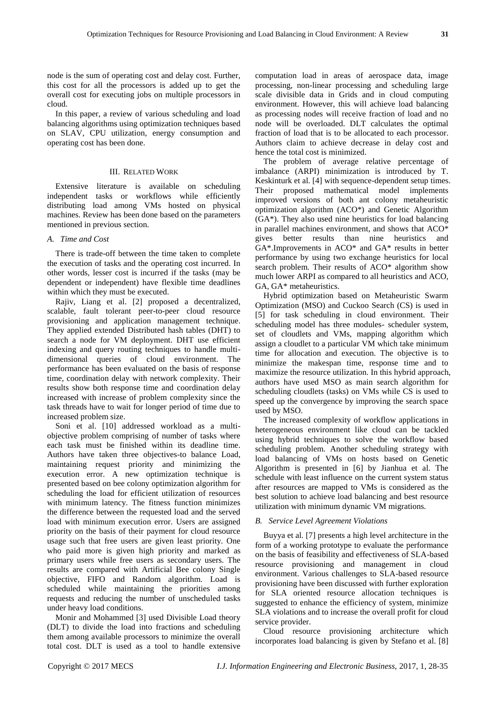node is the sum of operating cost and delay cost. Further, this cost for all the processors is added up to get the overall cost for executing jobs on multiple processors in cloud.

In this paper, a review of various scheduling and load balancing algorithms using optimization techniques based on SLAV, CPU utilization, energy consumption and operating cost has been done.

# III. RELATED WORK

Extensive literature is available on scheduling independent tasks or workflows while efficiently distributing load among VMs hosted on physical machines. Review has been done based on the parameters mentioned in previous section.

#### *A. Time and Cost*

There is trade-off between the time taken to complete the execution of tasks and the operating cost incurred. In other words, lesser cost is incurred if the tasks (may be dependent or independent) have flexible time deadlines within which they must be executed.

Rajiv, Liang et al. [2] proposed a decentralized, scalable, fault tolerant peer-to-peer cloud resource provisioning and application management technique. They applied extended Distributed hash tables (DHT) to search a node for VM deployment. DHT use efficient indexing and query routing techniques to handle multidimensional queries of cloud environment. The performance has been evaluated on the basis of response time, coordination delay with network complexity. Their results show both response time and coordination delay increased with increase of problem complexity since the task threads have to wait for longer period of time due to increased problem size.

Soni et al. [10] addressed workload as a multiobjective problem comprising of number of tasks where each task must be finished within its deadline time. Authors have taken three objectives-to balance Load, maintaining request priority and minimizing the execution error. A new optimization technique is presented based on bee colony optimization algorithm for scheduling the load for efficient utilization of resources with minimum latency. The fitness function minimizes the difference between the requested load and the served load with minimum execution error. Users are assigned priority on the basis of their payment for cloud resource usage such that free users are given least priority. One who paid more is given high priority and marked as primary users while free users as secondary users. The results are compared with Artificial Bee colony Single objective, FIFO and Random algorithm. Load is scheduled while maintaining the priorities among requests and reducing the number of unscheduled tasks under heavy load conditions.

Monir and Mohammed [3] used Divisible Load theory (DLT) to divide the load into fractions and scheduling them among available processors to minimize the overall total cost. DLT is used as a tool to handle extensive

computation load in areas of aerospace data, image processing, non-linear processing and scheduling large scale divisible data in Grids and in cloud computing environment. However, this will achieve load balancing as processing nodes will receive fraction of load and no node will be overloaded. DLT calculates the optimal fraction of load that is to be allocated to each processor. Authors claim to achieve decrease in delay cost and hence the total cost is minimized.

The problem of average relative percentage of imbalance (ARPI) minimization is introduced by T. Keskinturk et al. [4] with sequence-dependent setup times. Their proposed mathematical model implements improved versions of both ant colony metaheuristic optimization algorithm (ACO\*) and Genetic Algorithm (GA\*). They also used nine heuristics for load balancing in parallel machines environment, and shows that ACO\* gives better results than nine heuristics and GA\*.Improvements in ACO\* and GA\* results in better performance by using two exchange heuristics for local search problem. Their results of ACO\* algorithm show much lower ARPI as compared to all heuristics and ACO, GA, GA\* metaheuristics.

Hybrid optimization based on Metaheuristic Swarm Optimization (MSO) and Cuckoo Search (CS) is used in [5] for task scheduling in cloud environment. Their scheduling model has three modules- scheduler system, set of cloudlets and VMs, mapping algorithm which assign a cloudlet to a particular VM which take minimum time for allocation and execution. The objective is to minimize the makespan time, response time and to maximize the resource utilization. In this hybrid approach, authors have used MSO as main search algorithm for scheduling cloudlets (tasks) on VMs while CS is used to speed up the convergence by improving the search space used by MSO.

The increased complexity of workflow applications in heterogeneous environment like cloud can be tackled using hybrid techniques to solve the workflow based scheduling problem. Another scheduling strategy with load balancing of VMs on hosts based on Genetic Algorithm is presented in [6] by Jianhua et al. The schedule with least influence on the current system status after resources are mapped to VMs is considered as the best solution to achieve load balancing and best resource utilization with minimum dynamic VM migrations.

## *B. Service Level Agreement Violations*

Buyya et al. [7] presents a high level architecture in the form of a working prototype to evaluate the performance on the basis of feasibility and effectiveness of SLA-based resource provisioning and management in cloud environment. Various challenges to SLA-based resource provisioning have been discussed with further exploration for SLA oriented resource allocation techniques is suggested to enhance the efficiency of system, minimize SLA violations and to increase the overall profit for cloud service provider.

Cloud resource provisioning architecture which incorporates load balancing is given by Stefano et al. [8]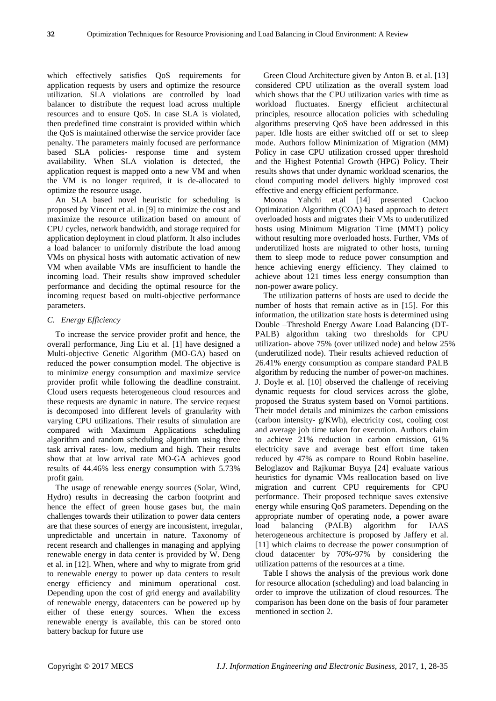which effectively satisfies QoS requirements for application requests by users and optimize the resource utilization. SLA violations are controlled by load balancer to distribute the request load across multiple resources and to ensure QoS. In case SLA is violated, then predefined time constraint is provided within which the QoS is maintained otherwise the service provider face penalty. The parameters mainly focused are performance based SLA policies- response time and system availability. When SLA violation is detected, the application request is mapped onto a new VM and when the VM is no longer required, it is de-allocated to optimize the resource usage.

An SLA based novel heuristic for scheduling is proposed by Vincent et al. in [9] to minimize the cost and maximize the resource utilization based on amount of CPU cycles, network bandwidth, and storage required for application deployment in cloud platform. It also includes a load balancer to uniformly distribute the load among VMs on physical hosts with automatic activation of new VM when available VMs are insufficient to handle the incoming load. Their results show improved scheduler performance and deciding the optimal resource for the incoming request based on multi-objective performance parameters.

#### *C. Energy Efficiency*

To increase the service provider profit and hence, the overall performance, Jing Liu et al. [1] have designed a Multi-objective Genetic Algorithm (MO-GA) based on reduced the power consumption model. The objective is to minimize energy consumption and maximize service provider profit while following the deadline constraint. Cloud users requests heterogeneous cloud resources and these requests are dynamic in nature. The service request is decomposed into different levels of granularity with varying CPU utilizations. Their results of simulation are compared with Maximum Applications scheduling algorithm and random scheduling algorithm using three task arrival rates- low, medium and high. Their results show that at low arrival rate MO-GA achieves good results of 44.46% less energy consumption with 5.73% profit gain.

The usage of renewable energy sources (Solar, Wind, Hydro) results in decreasing the carbon footprint and hence the effect of green house gases but, the main challenges towards their utilization to power data centers are that these sources of energy are inconsistent, irregular, unpredictable and uncertain in nature. Taxonomy of recent research and challenges in managing and applying renewable energy in data center is provided by W. Deng et al. in [12]. When, where and why to migrate from grid to renewable energy to power up data centers to result energy efficiency and minimum operational cost. Depending upon the cost of grid energy and availability of renewable energy, datacenters can be powered up by either of these energy sources. When the excess renewable energy is available, this can be stored onto battery backup for future use

Green Cloud Architecture given by Anton B. et al. [13] considered CPU utilization as the overall system load which shows that the CPU utilization varies with time as workload fluctuates. Energy efficient architectural principles, resource allocation policies with scheduling algorithms preserving QoS have been addressed in this paper. Idle hosts are either switched off or set to sleep mode. Authors follow Minimization of Migration (MM) Policy in case CPU utilization crossed upper threshold and the Highest Potential Growth (HPG) Policy. Their results shows that under dynamic workload scenarios, the cloud computing model delivers highly improved cost effective and energy efficient performance.

Moona Yahchi et.al [14] presented Cuckoo Optimization Algorithm (COA) based approach to detect overloaded hosts and migrates their VMs to underutilized hosts using Minimum Migration Time (MMT) policy without resulting more overloaded hosts. Further, VMs of underutilized hosts are migrated to other hosts, turning them to sleep mode to reduce power consumption and hence achieving energy efficiency. They claimed to achieve about 121 times less energy consumption than non-power aware policy.

The utilization patterns of hosts are used to decide the number of hosts that remain active as in [15]. For this information, the utilization state hosts is determined using Double –Threshold Energy Aware Load Balancing (DT-PALB) algorithm taking two thresholds for CPU utilization- above 75% (over utilized node) and below 25% (underutilized node). Their results achieved reduction of 26.41% energy consumption as compare standard PALB algorithm by reducing the number of power-on machines. J. Doyle et al. [10] observed the challenge of receiving dynamic requests for cloud services across the globe, proposed the Stratus system based on Vornoi partitions. Their model details and minimizes the carbon emissions (carbon intensity- g/KWh), electricity cost, cooling cost and average job time taken for execution. Authors claim to achieve 21% reduction in carbon emission, 61% electricity save and average best effort time taken reduced by 47% as compare to Round Robin baseline. Beloglazov and Rajkumar Buyya [24] evaluate various heuristics for dynamic VMs reallocation based on live migration and current CPU requirements for CPU performance. Their proposed technique saves extensive energy while ensuring QoS parameters. Depending on the appropriate number of operating node, a power aware load balancing (PALB) algorithm for IAAS heterogeneous architecture is proposed by Jaffery et al. [11] which claims to decrease the power consumption of cloud datacenter by 70%-97% by considering the utilization patterns of the resources at a time.

Table I shows the analysis of the previous work done for resource allocation (scheduling) and load balancing in order to improve the utilization of cloud resources. The comparison has been done on the basis of four parameter mentioned in section 2.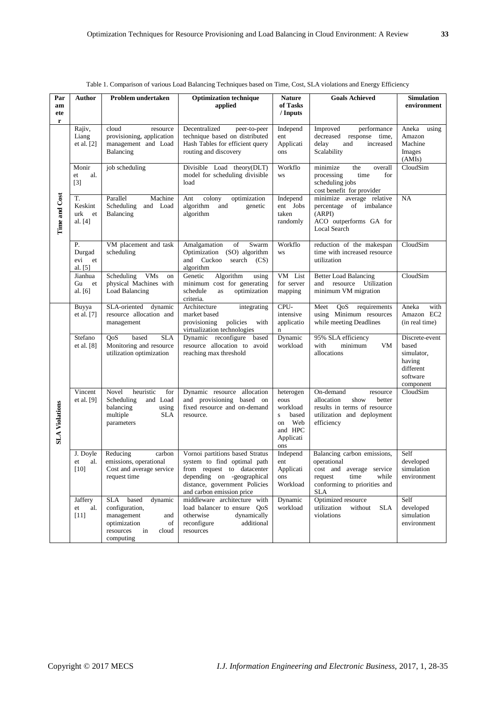| Par                   | Author                               | Problem undertaken                                                                                                         | <b>Optimization technique</b>                                                                                                                                                            | <b>Nature</b>                                                                                     | <b>Goals Achieved</b>                                                                                                                            | <b>Simulation</b>                                                                     |
|-----------------------|--------------------------------------|----------------------------------------------------------------------------------------------------------------------------|------------------------------------------------------------------------------------------------------------------------------------------------------------------------------------------|---------------------------------------------------------------------------------------------------|--------------------------------------------------------------------------------------------------------------------------------------------------|---------------------------------------------------------------------------------------|
| am<br>ete<br>r        |                                      |                                                                                                                            | applied                                                                                                                                                                                  | of Tasks<br>/ Inputs                                                                              |                                                                                                                                                  | environment                                                                           |
| <b>Time and Cost</b>  | Rajiv,<br>Liang<br>et al. $[2]$      | cloud<br>resource<br>provisioning, application<br>management and Load<br>Balancing                                         | Decentralized<br>peer-to-peer<br>technique based on distributed<br>Hash Tables for efficient query<br>routing and discovery                                                              | Independ<br>ent<br>Applicati<br>ons                                                               | performance<br>Improved<br>decreased response time,<br>delay<br>and<br>increased<br>Scalability                                                  | Aneka<br>using<br>Amazon<br>Machine<br>Images<br>(AMIs)                               |
|                       | Monir<br>al.<br>et<br>$[3]$          | job scheduling                                                                                                             | Divisible Load theory(DLT)<br>model for scheduling divisible<br>load                                                                                                                     | Workflo<br><b>WS</b>                                                                              | overall<br>minimize<br>the<br>time<br>processing<br>for<br>scheduling jobs<br>cost benefit for provider                                          | CloudSim                                                                              |
|                       | T.<br>Keskint<br>urk et<br>al. [4]   | Machine<br>Parallel<br>Scheduling<br>and Load<br>Balancing                                                                 | colony<br>Ant<br>optimization<br>algorithm<br>and<br>genetic<br>algorithm                                                                                                                | Independ<br>ent Jobs<br>taken<br>randomly                                                         | minimize average relative<br>percentage of imbalance<br>(ARPI)<br>ACO outperforms GA for<br>Local Search                                         | NA                                                                                    |
|                       | Р.<br>Durgad<br>evi<br>et<br>al. [5] | VM placement and task<br>scheduling                                                                                        | Amalgamation<br>of<br>Swarm<br>Optimization (SO) algorithm<br>and Cuckoo<br>search<br>(CS)<br>algorithm                                                                                  | Workflo<br><b>WS</b>                                                                              | reduction of the makespan<br>time with increased resource<br>utilization                                                                         | CloudSim                                                                              |
|                       | Jianhua<br>Gu<br>et<br>al. $[6]$     | <b>VMs</b><br>Scheduling<br>on<br>physical Machines with<br>Load Balancing                                                 | Genetic<br>Algorithm<br>using<br>minimum cost for generating<br>schedule<br>optimization<br>as<br>criteria.                                                                              | VM List<br>for server<br>mapping                                                                  | <b>Better Load Balancing</b><br>and resource<br>Utilization<br>minimum VM migration                                                              | CloudSim                                                                              |
| <b>SLA Violations</b> | Buyya<br>et al. [7]                  | SLA-oriented dynamic<br>resource allocation and<br>management                                                              | Architecture<br>integrating<br>market based<br>policies<br>provisioning<br>with<br>virtualization technologies                                                                           | CPU-<br>intensive<br>applicatio<br>$\mathbf n$                                                    | QoS<br>Meet<br>requirements<br>using Minimum resources<br>while meeting Deadlines                                                                | with<br>Aneka<br>Amazon EC2<br>(in real time)                                         |
|                       | Stefano<br>et al. [8]                | OoS<br>based<br><b>SLA</b><br>Monitoring and resource<br>utilization optimization                                          | Dynamic reconfigure<br>based<br>resource allocation to avoid<br>reaching max threshold                                                                                                   | Dynamic<br>workload                                                                               | 95% SLA efficiency<br>with<br>minimum<br><b>VM</b><br>allocations                                                                                | Discrete-event<br>based<br>simulator,<br>having<br>different<br>software<br>component |
|                       | Vincent<br>et al. [9]                | Novel<br>heuristic<br>for<br>Scheduling<br>and Load<br>balancing<br>using<br>multiple<br><b>SLA</b><br>parameters          | Dynamic resource allocation<br>and provisioning based on<br>fixed resource and on-demand<br>resource.                                                                                    | heterogen<br>eous<br>workload<br>based<br>$\mathbf S$<br>Web<br>on<br>and HPC<br>Applicati<br>ons | On-demand<br>resource<br>allocation<br>show<br>better<br>results in terms of resource<br>utilization and deployment<br>efficiency                | CloudSim                                                                              |
|                       | J. Doyle<br>$et \quad al.$<br>$[10]$ | Reducing<br>carbon<br>emissions, operational<br>Cost and average service<br>request time                                   | Vornoi partitions based Stratus<br>system to find optimal path<br>from request to datacenter<br>depending on -geographical<br>distance, government Policies<br>and carbon emission price | Independ<br>ent<br>Applicati<br>ons<br>Workload                                                   | Balancing carbon emissions,<br>operational<br>cost and average service<br>request<br>time<br>while<br>conforming to priorities and<br><b>SLA</b> | Self<br>developed<br>simulation<br>environment                                        |
|                       | Jaffery<br>et<br>al.<br>$[11]$       | SLA based<br>dynamic<br>configuration,<br>management<br>and<br>optimization<br>of<br>resources<br>in<br>cloud<br>computing | middleware architecture with<br>load balancer to ensure QoS<br>otherwise<br>dynamically<br>reconfigure<br>additional<br>resources                                                        | Dynamic<br>workload                                                                               | Optimized resource<br>utilization<br>without<br><b>SLA</b><br>violations                                                                         | Self<br>developed<br>simulation<br>environment                                        |

Table 1. Comparison of various Load Balancing Techniques based on Time, Cost, SLA violations and Energy Efficiency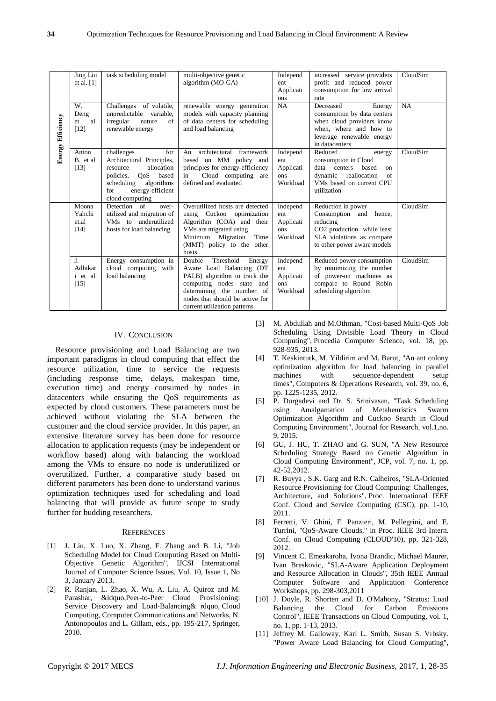|                                                                                                                                                                                                                                                                                                                                                                                                                                                                                                                                                                                                                                                                                                                                                                                                                                                                                                                                                                                                                                                   | Jing Liu<br>et al. $[1]$            | task scheduling model                                                                                                                                                        | multi-objective genetic<br>algorithm (MO-GA)                                                                                                                                                                 |                   | Independ<br>ent<br>Applicati<br>ons                                                                                                                                                                                                                                                                                                                                                                                                                                                                                                                                                                                                                                                                                                                                                                                                                                                                                                   | increased service providers<br>profit and reduced power<br>consumption for low arrival<br>rate                                                           | CloudSim  |  |                                                                                                                                                                                                                                                                                            |                                                                                                                                                                                                                                                 |  |  |     |                                                                                                                                                                                                                                                                                       |  |  |
|---------------------------------------------------------------------------------------------------------------------------------------------------------------------------------------------------------------------------------------------------------------------------------------------------------------------------------------------------------------------------------------------------------------------------------------------------------------------------------------------------------------------------------------------------------------------------------------------------------------------------------------------------------------------------------------------------------------------------------------------------------------------------------------------------------------------------------------------------------------------------------------------------------------------------------------------------------------------------------------------------------------------------------------------------|-------------------------------------|------------------------------------------------------------------------------------------------------------------------------------------------------------------------------|--------------------------------------------------------------------------------------------------------------------------------------------------------------------------------------------------------------|-------------------|---------------------------------------------------------------------------------------------------------------------------------------------------------------------------------------------------------------------------------------------------------------------------------------------------------------------------------------------------------------------------------------------------------------------------------------------------------------------------------------------------------------------------------------------------------------------------------------------------------------------------------------------------------------------------------------------------------------------------------------------------------------------------------------------------------------------------------------------------------------------------------------------------------------------------------------|----------------------------------------------------------------------------------------------------------------------------------------------------------|-----------|--|--------------------------------------------------------------------------------------------------------------------------------------------------------------------------------------------------------------------------------------------------------------------------------------------|-------------------------------------------------------------------------------------------------------------------------------------------------------------------------------------------------------------------------------------------------|--|--|-----|---------------------------------------------------------------------------------------------------------------------------------------------------------------------------------------------------------------------------------------------------------------------------------------|--|--|
| <b>Energy Efficiency</b>                                                                                                                                                                                                                                                                                                                                                                                                                                                                                                                                                                                                                                                                                                                                                                                                                                                                                                                                                                                                                          | W.<br>Deng<br>al.<br>et<br>$[12]$   | Challenges of volatile,<br>unpredictable variable,<br>irregular<br>nature<br>of<br>renewable energy                                                                          | renewable energy generation<br>models with capacity planning<br>of data centers for scheduling<br>and load balancing                                                                                         |                   | NA                                                                                                                                                                                                                                                                                                                                                                                                                                                                                                                                                                                                                                                                                                                                                                                                                                                                                                                                    | Decreased<br>Energy<br>consumption by data centers<br>when cloud providers know<br>when, where and how to<br>leverage renewable energy<br>in datacenters | <b>NA</b> |  |                                                                                                                                                                                                                                                                                            |                                                                                                                                                                                                                                                 |  |  |     |                                                                                                                                                                                                                                                                                       |  |  |
|                                                                                                                                                                                                                                                                                                                                                                                                                                                                                                                                                                                                                                                                                                                                                                                                                                                                                                                                                                                                                                                   | Anton<br>B. et al.<br>$[13]$        | challenges<br>for<br>Architectural Principles,<br>resource<br>allocation<br>policies,<br>QoS based<br>scheduling<br>algorithms<br>energy-efficient<br>for<br>cloud computing | An architectural framework<br>based on MM policy and<br>principles for energy-efficiency<br>Cloud computing are<br>in<br>defined and evaluated                                                               |                   | Independ<br>ent<br>Applicati<br>ons<br>Workload                                                                                                                                                                                                                                                                                                                                                                                                                                                                                                                                                                                                                                                                                                                                                                                                                                                                                       | Reduced<br>energy<br>consumption in Cloud<br>data centers<br>based<br>on<br>dynamic reallocation<br>of<br>VMs based on current CPU<br>utilization        | CloudSim  |  |                                                                                                                                                                                                                                                                                            |                                                                                                                                                                                                                                                 |  |  |     |                                                                                                                                                                                                                                                                                       |  |  |
|                                                                                                                                                                                                                                                                                                                                                                                                                                                                                                                                                                                                                                                                                                                                                                                                                                                                                                                                                                                                                                                   | Moona<br>Yahchi<br>et.al<br>$[14]$  | Detection of<br>over-<br>utilized and migration of<br>VMs to underutilized<br>hosts for load balancing                                                                       | Overutilized hosts are detected<br>using Cuckoo optimization<br>Algorithm (COA) and their<br>VMs are migrated using<br>Minimum Migration<br>(MMT) policy to the other<br>hosts.                              | Time              | Independ<br>ent<br>Applicati<br>ons<br>Workload                                                                                                                                                                                                                                                                                                                                                                                                                                                                                                                                                                                                                                                                                                                                                                                                                                                                                       | Reduction in power<br>Consumption and hence,<br>reducing<br>CO2 production while least<br>SLA violations as compare<br>to other power aware models       | CloudSim  |  |                                                                                                                                                                                                                                                                                            |                                                                                                                                                                                                                                                 |  |  |     |                                                                                                                                                                                                                                                                                       |  |  |
|                                                                                                                                                                                                                                                                                                                                                                                                                                                                                                                                                                                                                                                                                                                                                                                                                                                                                                                                                                                                                                                   | J.<br>Adhikar<br>i et al.<br>$[15]$ | Energy consumption in<br>cloud computing with<br>load balancing                                                                                                              | Double<br>Threshold<br>Aware Load Balancing (DT<br>PALB) algorithm to track the<br>computing nodes state and<br>determining the number of<br>nodes that should be active for<br>current utilization patterns | Energy            | Independ<br>ent<br>Applicati<br>ons<br>Workload                                                                                                                                                                                                                                                                                                                                                                                                                                                                                                                                                                                                                                                                                                                                                                                                                                                                                       | Reduced power consumption<br>by minimizing the number<br>of power-on machines as<br>compare to Round Robin<br>scheduling algorithm                       | CloudSim  |  |                                                                                                                                                                                                                                                                                            |                                                                                                                                                                                                                                                 |  |  |     |                                                                                                                                                                                                                                                                                       |  |  |
|                                                                                                                                                                                                                                                                                                                                                                                                                                                                                                                                                                                                                                                                                                                                                                                                                                                                                                                                                                                                                                                   |                                     | <b>IV. CONCLUSION</b>                                                                                                                                                        |                                                                                                                                                                                                              | $\lceil 3 \rceil$ | M. Abdullah and M.Othman, "Cost-based Multi-QoS Job<br>Scheduling Using Divisible Load Theory in Cloud<br>Computing", Procedia Computer Science, vol. 18, pp.                                                                                                                                                                                                                                                                                                                                                                                                                                                                                                                                                                                                                                                                                                                                                                         |                                                                                                                                                          |           |  |                                                                                                                                                                                                                                                                                            |                                                                                                                                                                                                                                                 |  |  |     |                                                                                                                                                                                                                                                                                       |  |  |
| Resource provisioning and Load Balancing are two<br>[4]<br>important paradigms in cloud computing that effect the<br>resource utilization, time to service the requests<br>(including response time, delays, makespan time,<br>execution time) and energy consumed by nodes in<br>datacenters while ensuring the QoS requirements as<br>$\lceil 5 \rceil$<br>expected by cloud customers. These parameters must be<br>achieved without violating the SLA between the<br>customer and the cloud service provider. In this paper, an<br>extensive literature survey has been done for resource<br>[6]<br>allocation to application requests (may be independent or<br>workflow based) along with balancing the workload<br>among the VMs to ensure no node is underutilized or<br>overutilized. Further, a comparative study based on<br>$\left\lfloor 7 \right\rfloor$<br>different parameters has been done to understand various<br>optimization techniques used for scheduling and load<br>balancing that will provide as future scope to study |                                     |                                                                                                                                                                              |                                                                                                                                                                                                              |                   | 928-935, 2013.<br>T. Keskinturk, M. Yildirim and M. Barut, "An ant colony<br>optimization algorithm for load balancing in parallel<br>with<br>sequence-dependent<br>machines<br>setup<br>times", Computers & Operations Research, vol. 39, no. 6<br>pp. 1225-1235, 2012.<br>P. Durgadevi and Dr. S. Srinivasan, "Task Scheduling<br>Amalgamation<br>using<br>of<br>Metaheuristics<br>Swarn<br>Optimization Algorithm and Cuckoo Search in Cloud<br>Computing Environment", Journal for Research, vol.1,no<br>9, 2015.<br>GU, J. HU, T. ZHAO and G. SUN, "A New Resource<br>Scheduling Strategy Based on Genetic Algorithm in<br>Cloud Computing Environment", JCP, vol. 7, no. 1, pp<br>42-52, 2012.<br>R. Buyya, S.K. Garg and R.N. Calheiros, "SLA-Oriented<br>Resource Provisioning for Cloud Computing: Challenges<br>Architecture, and Solutions", Proc. International IEEE<br>Conf. Cloud and Service Computing (CSC), pp. 1-10 |                                                                                                                                                          |           |  |                                                                                                                                                                                                                                                                                            |                                                                                                                                                                                                                                                 |  |  |     |                                                                                                                                                                                                                                                                                       |  |  |
|                                                                                                                                                                                                                                                                                                                                                                                                                                                                                                                                                                                                                                                                                                                                                                                                                                                                                                                                                                                                                                                   |                                     |                                                                                                                                                                              |                                                                                                                                                                                                              |                   |                                                                                                                                                                                                                                                                                                                                                                                                                                                                                                                                                                                                                                                                                                                                                                                                                                                                                                                                       |                                                                                                                                                          |           |  | further for budding researchers.<br><b>REFERENCES</b>                                                                                                                                                                                                                                      |                                                                                                                                                                                                                                                 |  |  |     | 2011.<br>Ferretti, V. Ghini, F. Panzieri, M. Pellegrini, and E.<br>Turrini, "QoS-Aware Clouds," in Proc. IEEE 3rd Intern                                                                                                                                                              |  |  |
|                                                                                                                                                                                                                                                                                                                                                                                                                                                                                                                                                                                                                                                                                                                                                                                                                                                                                                                                                                                                                                                   |                                     |                                                                                                                                                                              |                                                                                                                                                                                                              |                   |                                                                                                                                                                                                                                                                                                                                                                                                                                                                                                                                                                                                                                                                                                                                                                                                                                                                                                                                       |                                                                                                                                                          |           |  | $[1]$                                                                                                                                                                                                                                                                                      | J. Liu, X. Luo, X. Zhang, F. Zhang and B. Li, "Job<br>Scheduling Model for Cloud Computing Based on Multi-<br>Objective Genetic Algorithm", IJCSI International<br>Journal of Computer Science Issues, Vol. 10, Issue 1, No<br>3, January 2013. |  |  | [9] | Conf. on Cloud Computing (CLOUD'10), pp. 321-328<br>2012.<br>Vincent C. Emeakaroha, Ivona Brandic, Michael Maurer<br>Ivan Breskovic, "SLA-Aware Application Deploymen<br>and Resource Allocation in Clouds", 35th IEEE Annua<br>Application Conference<br>Computer<br>Software<br>and |  |  |
|                                                                                                                                                                                                                                                                                                                                                                                                                                                                                                                                                                                                                                                                                                                                                                                                                                                                                                                                                                                                                                                   |                                     |                                                                                                                                                                              |                                                                                                                                                                                                              |                   |                                                                                                                                                                                                                                                                                                                                                                                                                                                                                                                                                                                                                                                                                                                                                                                                                                                                                                                                       |                                                                                                                                                          |           |  | $[2]$<br>R. Ranjan, L. Zhao, X. Wu, A. Liu, A. Quiroz and M.<br>“, Peer-to-Peer Cloud Provisioning:<br>Parashar,<br>Service Discovery and Load-Balancing & rdquo, Cloud<br>Computing, Computer Communications and Networks, N.<br>Antonopoulos and L. Gillam, eds., pp. 195-217, Springer, |                                                                                                                                                                                                                                                 |  |  |     | Workshops, pp. 298-303,2011<br>[10] J. Doyle, R. Shorten and D. O'Mahony, "Stratus: Load<br>Cloud<br>for<br>Carbon<br><b>Balancing</b><br>the<br>Emissions<br>Control", IEEE Transactions on Cloud Computing, vol. 1<br>no. 1, pp. 1-13, 2013.                                        |  |  |
|                                                                                                                                                                                                                                                                                                                                                                                                                                                                                                                                                                                                                                                                                                                                                                                                                                                                                                                                                                                                                                                   | 2010.                               |                                                                                                                                                                              |                                                                                                                                                                                                              |                   | [11] Jeffrey M. Galloway, Karl L. Smith, Susan S. Vrbsky<br>"Power Aware Load Balancing for Cloud Computing".                                                                                                                                                                                                                                                                                                                                                                                                                                                                                                                                                                                                                                                                                                                                                                                                                         |                                                                                                                                                          |           |  |                                                                                                                                                                                                                                                                                            |                                                                                                                                                                                                                                                 |  |  |     |                                                                                                                                                                                                                                                                                       |  |  |
|                                                                                                                                                                                                                                                                                                                                                                                                                                                                                                                                                                                                                                                                                                                                                                                                                                                                                                                                                                                                                                                   | Copyright © 2017 MECS               |                                                                                                                                                                              |                                                                                                                                                                                                              |                   |                                                                                                                                                                                                                                                                                                                                                                                                                                                                                                                                                                                                                                                                                                                                                                                                                                                                                                                                       | I.J. Information Engineering and Electronic Business, 2017, 1, 28-35                                                                                     |           |  |                                                                                                                                                                                                                                                                                            |                                                                                                                                                                                                                                                 |  |  |     |                                                                                                                                                                                                                                                                                       |  |  |

## IV. CONCLUSION

#### **REFERENCES**

- [1] J. Liu, X. Luo, X. Zhang, F. Zhang and B. Li, "Job Scheduling Model for Cloud Computing Based on Multi-Objective Genetic Algorithm", IJCSI International Journal of Computer Science Issues, Vol. 10, Issue 1, No 3, January 2013.
- [2] R. Ranjan, L. Zhao, X. Wu, A. Liu, A. Quiroz and M. Parashar, &ldquo,Peer-to-Peer Cloud Provisioning: Service Discovery and Load-Balancing& rdquo, Cloud Computing, Computer Communications and Networks, N. Antonopoulos and L. Gillam, eds., pp. 195-217, Springer, 2010.
- [3] M. Abdullah and M.Othman, "Cost-based Multi-QoS Job Scheduling Using Divisible Load Theory in Cloud Computing", Procedia Computer Science, vol. 18, pp. 928-935, 2013.
- [4] T. Keskinturk, M. Yildirim and M. Barut, "An ant colony optimization algorithm for load balancing in parallel machines with sequence-dependent setup times", Computers & Operations Research, vol. 39, no. 6, pp. 1225-1235, 2012.
- [5] P. Durgadevi and Dr. S. Srinivasan, "Task Scheduling using Amalgamation of Metaheuristics Swarm Optimization Algorithm and Cuckoo Search in Cloud Computing Environment", Journal for Research, vol.1,no. 9, 2015.
- [6] GU, J. HU, T. ZHAO and G. SUN, "A New Resource Scheduling Strategy Based on Genetic Algorithm in Cloud Computing Environment", JCP, vol. 7, no. 1, pp. 42-52,2012.
- [7] R. Buyya , S.K. Garg and R.N. Calheiros, "SLA-Oriented Resource Provisioning for Cloud Computing: Challenges, Architecture, and Solutions", Proc. International IEEE Conf. Cloud and Service Computing (CSC), pp. 1-10, 2011.
- [8] Ferretti, V. Ghini, F. Panzieri, M. Pellegrini, and E. Turrini, "QoS-Aware Clouds," in Proc. IEEE 3rd Intern. Conf. on Cloud Computing (CLOUD'10), pp. 321-328, 2012.
- [9] Vincent C. Emeakaroha, Ivona Brandic, Michael Maurer, Ivan Breskovic, "SLA-Aware Application Deployment and Resource Allocation in Clouds", 35th IEEE Annual Computer Software and Application Conference Workshops, pp. 298-303,2011
- [10] J. Doyle, R. Shorten and D. O'Mahony, "Stratus: Load Balancing the Cloud for Carbon Emissions Control", IEEE Transactions on Cloud Computing, vol. 1, no. 1, pp. 1-13, 2013.
- [11] Jeffrey M. Galloway, Karl L. Smith, Susan S. Vrbsky. "Power Aware Load Balancing for Cloud Computing",